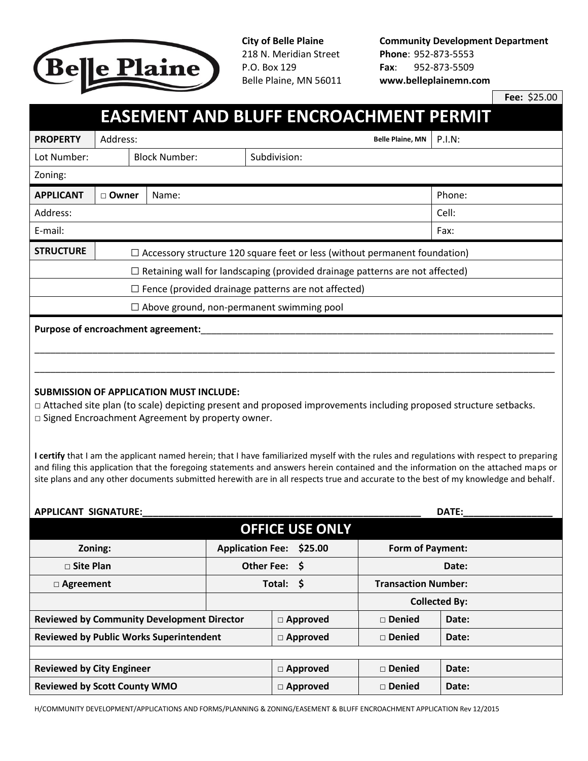

218 N. Meridian Street **Phone**: 952-873-5553 P.O. Box 129 **Fax**: 952-873-5509

**City of Belle Plaine Community Development Department** Belle Plaine, MN 56011 **www.belleplainemn.com**

**Fee:** \$25.00

## **EASEMENT AND BLUFF ENCROACHMENT PERMIT**

| <b>PROPERTY</b>                                                                     | Address:                                                                          |                      | <b>Belle Plaine, MN</b> | <b>P.I.N:</b> |  |  |  |
|-------------------------------------------------------------------------------------|-----------------------------------------------------------------------------------|----------------------|-------------------------|---------------|--|--|--|
| Lot Number:                                                                         |                                                                                   | <b>Block Number:</b> | Subdivision:            |               |  |  |  |
| Zoning:                                                                             |                                                                                   |                      |                         |               |  |  |  |
| <b>APPLICANT</b>                                                                    | □ Owner<br>Name:                                                                  |                      |                         | Phone:        |  |  |  |
| Address:                                                                            | Cell:                                                                             |                      |                         |               |  |  |  |
| E-mail:                                                                             | Fax:                                                                              |                      |                         |               |  |  |  |
| <b>STRUCTURE</b>                                                                    | $\Box$ Accessory structure 120 square feet or less (without permanent foundation) |                      |                         |               |  |  |  |
| $\Box$ Retaining wall for landscaping (provided drainage patterns are not affected) |                                                                                   |                      |                         |               |  |  |  |
| $\Box$ Fence (provided drainage patterns are not affected)                          |                                                                                   |                      |                         |               |  |  |  |
| $\Box$ Above ground, non-permanent swimming pool                                    |                                                                                   |                      |                         |               |  |  |  |
| Purpose of encroachment agreement:                                                  |                                                                                   |                      |                         |               |  |  |  |

## **SUBMISSION OF APPLICATION MUST INCLUDE:**

□ Attached site plan (to scale) depicting present and proposed improvements including proposed structure setbacks. □ Signed Encroachment Agreement by property owner.

**I certify** that I am the applicant named herein; that I have familiarized myself with the rules and regulations with respect to preparing and filing this application that the foregoing statements and answers herein contained and the information on the attached maps or site plans and any other documents submitted herewith are in all respects true and accurate to the best of my knowledge and behalf.

## **APPLICANT SIGNATURE:\_\_\_\_\_\_\_\_\_\_\_\_\_\_\_\_\_\_\_\_\_\_\_\_\_\_\_\_\_\_\_\_\_\_\_\_\_\_\_\_\_\_\_\_\_\_\_\_\_\_\_\_\_ DATE:\_\_\_\_\_\_\_\_\_\_\_\_\_\_\_\_\_**

**OFFICE USE ONLY Zoning: Application Fee: \$25.00 Form of Payment:** □ **Site Plan Other Fee: \$ Date:** □ **Agreement Total: \$ Transaction Number: Collected By: Reviewed by Community Development Director** □ **Approved** □ **Denied Date: Reviewed by Public Works Superintendent** □ **△ Approved** □ **Denied Date: Reviewed by City Engineer** □ **Approved** □ **Denied Date: Reviewed by Scott County WMO** □ **Approved** □ **Denied Date:**

H/COMMUNITY DEVELOPMENT/APPLICATIONS AND FORMS/PLANNING & ZONING/EASEMENT & BLUFF ENCROACHMENT APPLICATION Rev 12/2015